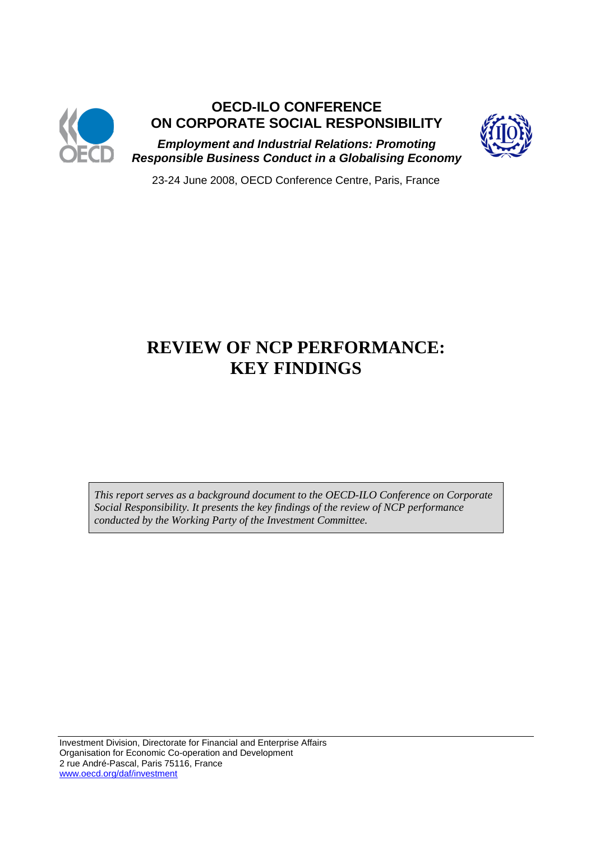

# **OECD-ILO CONFERENCE ON CORPORATE SOCIAL RESPONSIBILITY**



*Employment and Industrial Relations: Promoting Responsible Business Conduct in a Globalising Economy*

23-24 June 2008, OECD Conference Centre, Paris, France

# **REVIEW OF NCP PERFORMANCE: KEY FINDINGS**

*This report serves as a background document to the OECD-ILO Conference on Corporate Social Responsibility. It presents the key findings of the review of NCP performance conducted by the Working Party of the Investment Committee.* 

Investment Division, Directorate for Financial and Enterprise Affairs Organisation for Economic Co-operation and Development 2 rue André-Pascal, Paris 75116, France www.oecd.org/daf/investment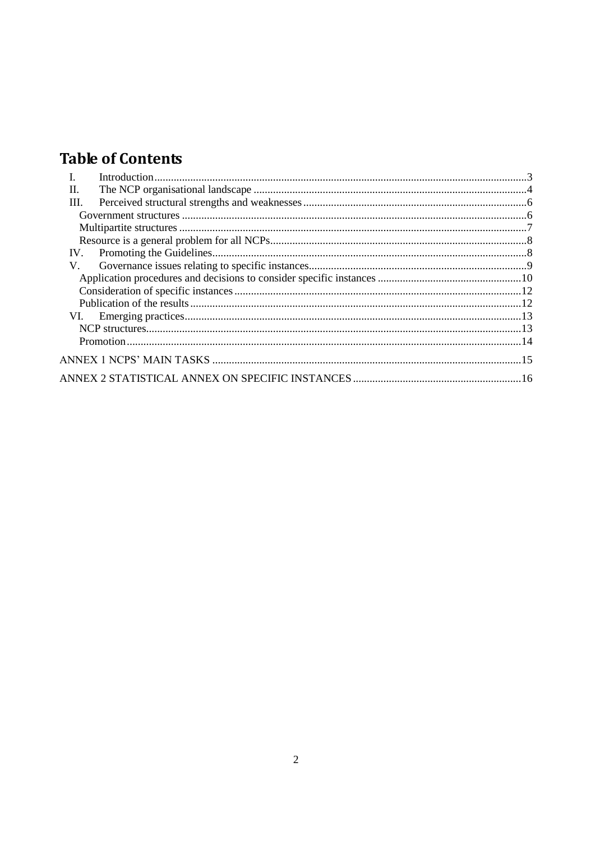# **Table of Contents**

| H.           |  |
|--------------|--|
| Ш.           |  |
|              |  |
|              |  |
|              |  |
| $IV_{-}$     |  |
| $V_{\rm{1}}$ |  |
|              |  |
|              |  |
|              |  |
| VI.          |  |
|              |  |
|              |  |
|              |  |
|              |  |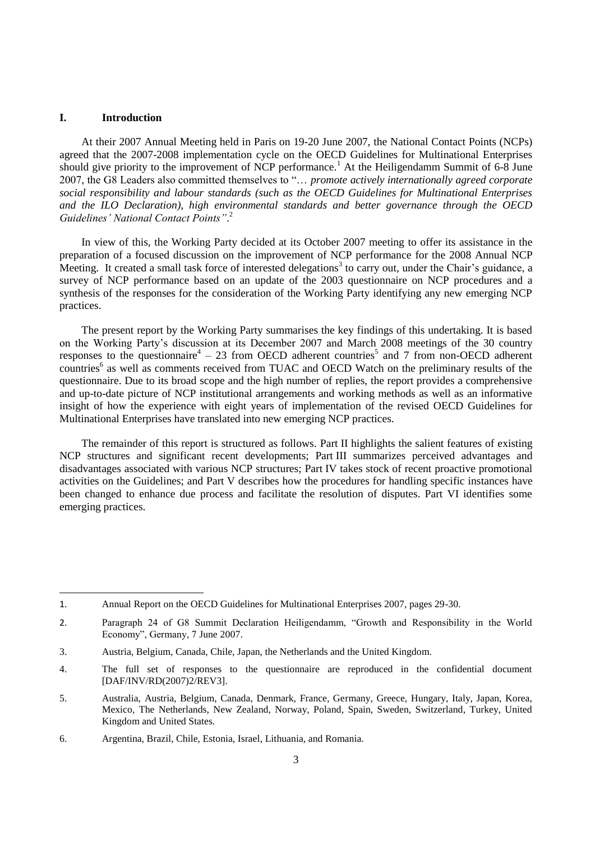## <span id="page-2-0"></span>**I. Introduction**

 $\overline{\phantom{a}}$ 

At their 2007 Annual Meeting held in Paris on 19-20 June 2007, the National Contact Points (NCPs) agreed that the 2007-2008 implementation cycle on the OECD Guidelines for Multinational Enterprises should give priority to the improvement of NCP performance.<sup>1</sup> At the Heiligendamm Summit of  $6-8$  June 2007, the G8 Leaders also committed themselves to "… *promote actively internationally agreed corporate social responsibility and labour standards (such as the OECD Guidelines for Multinational Enterprises and the ILO Declaration), high environmental standards and better governance through the OECD Guidelines' National Contact Points"*. 2

In view of this, the Working Party decided at its October 2007 meeting to offer its assistance in the preparation of a focused discussion on the improvement of NCP performance for the 2008 Annual NCP Meeting. It created a small task force of interested delegations<sup>3</sup> to carry out, under the Chair's guidance, a survey of NCP performance based on an update of the 2003 questionnaire on NCP procedures and a synthesis of the responses for the consideration of the Working Party identifying any new emerging NCP practices.

The present report by the Working Party summarises the key findings of this undertaking. It is based on the Working Party's discussion at its December 2007 and March 2008 meetings of the 30 country responses to the questionnaire<sup>4</sup> – 23 from OECD adherent countries<sup>5</sup> and 7 from non-OECD adherent countries<sup>6</sup> as well as comments received from TUAC and OECD Watch on the preliminary results of the questionnaire. Due to its broad scope and the high number of replies, the report provides a comprehensive and up-to-date picture of NCP institutional arrangements and working methods as well as an informative insight of how the experience with eight years of implementation of the revised OECD Guidelines for Multinational Enterprises have translated into new emerging NCP practices.

The remainder of this report is structured as follows. Part II highlights the salient features of existing NCP structures and significant recent developments; Part III summarizes perceived advantages and disadvantages associated with various NCP structures; Part IV takes stock of recent proactive promotional activities on the Guidelines; and Part V describes how the procedures for handling specific instances have been changed to enhance due process and facilitate the resolution of disputes. Part VI identifies some emerging practices.

<sup>1.</sup> Annual Report on the OECD Guidelines for Multinational Enterprises 2007, pages 29-30.

<sup>2.</sup> Paragraph 24 of G8 Summit Declaration Heiligendamm, "Growth and Responsibility in the World Economy", Germany, 7 June 2007.

<sup>3.</sup> Austria, Belgium, Canada, Chile, Japan, the Netherlands and the United Kingdom.

<sup>4.</sup> The full set of responses to the questionnaire are reproduced in the confidential document [DAF/INV/RD(2007)2/REV3].

<sup>5.</sup> Australia, Austria, Belgium, Canada, Denmark, France, Germany, Greece, Hungary, Italy, Japan, Korea, Mexico, The Netherlands, New Zealand, Norway, Poland, Spain, Sweden, Switzerland, Turkey, United Kingdom and United States.

<sup>6.</sup> Argentina, Brazil, Chile, Estonia, Israel, Lithuania, and Romania.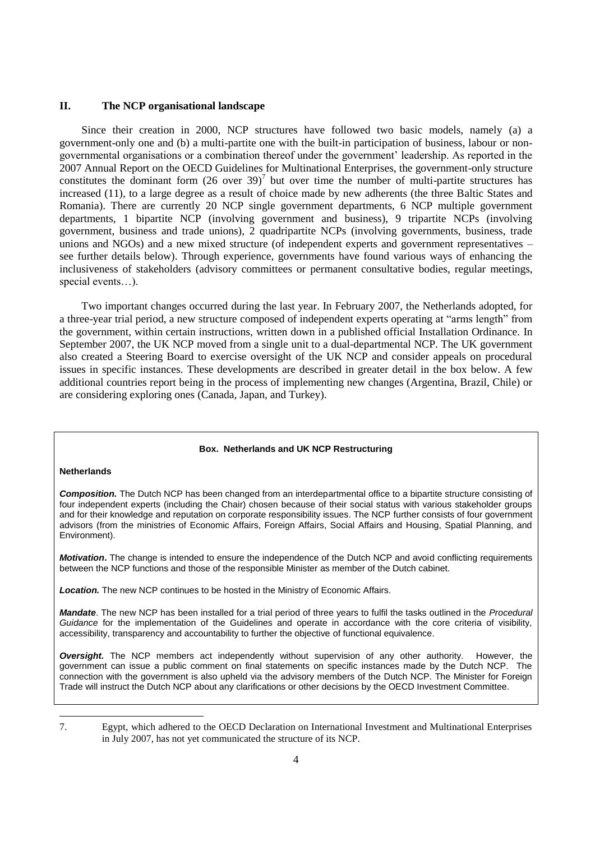## <span id="page-3-0"></span>**II. The NCP organisational landscape**

Since their creation in 2000, NCP structures have followed two basic models, namely (a) a government-only one and (b) a multi-partite one with the built-in participation of business, labour or nongovernmental organisations or a combination thereof under the government' leadership. As reported in the 2007 Annual Report on the OECD Guidelines for Multinational Enterprises, the government-only structure constitutes the dominant form  $(26 \text{ over } 39)^7$  but over time the number of multi-partite structures has increased (11), to a large degree as a result of choice made by new adherents (the three Baltic States and Romania). There are currently 20 NCP single government departments, 6 NCP multiple government departments, 1 bipartite NCP (involving government and business), 9 tripartite NCPs (involving government, business and trade unions), 2 quadripartite NCPs (involving governments, business, trade unions and NGOs) and a new mixed structure (of independent experts and government representatives – see further details below). Through experience, governments have found various ways of enhancing the inclusiveness of stakeholders (advisory committees or permanent consultative bodies, regular meetings, special events…).

Two important changes occurred during the last year. In February 2007, the Netherlands adopted, for a three-year trial period, a new structure composed of independent experts operating at "arms length" from the government, within certain instructions, written down in a published official Installation Ordinance. In September 2007, the UK NCP moved from a single unit to a dual-departmental NCP. The UK government also created a Steering Board to exercise oversight of the UK NCP and consider appeals on procedural issues in specific instances. These developments are described in greater detail in the box below. A few additional countries report being in the process of implementing new changes (Argentina, Brazil, Chile) or are considering exploring ones (Canada, Japan, and Turkey).

#### **Box. Netherlands and UK NCP Restructuring**

#### **Netherlands**

l

*Composition.* The Dutch NCP has been changed from an interdepartmental office to a bipartite structure consisting of four independent experts (including the Chair) chosen because of their social status with various stakeholder groups and for their knowledge and reputation on corporate responsibility issues. The NCP further consists of four government advisors (from the ministries of Economic Affairs, Foreign Affairs, Social Affairs and Housing, Spatial Planning, and Environment).

*Motivation***.** The change is intended to ensure the independence of the Dutch NCP and avoid conflicting requirements between the NCP functions and those of the responsible Minister as member of the Dutch cabinet.

*Location.* The new NCP continues to be hosted in the Ministry of Economic Affairs.

*Mandate*. The new NCP has been installed for a trial period of three years to fulfil the tasks outlined in the *Procedural Guidance* for the implementation of the Guidelines and operate in accordance with the core criteria of visibility, accessibility, transparency and accountability to further the objective of functional equivalence.

**Oversight.** The NCP members act independently without supervision of any other authority. However, the government can issue a public comment on final statements on specific instances made by the Dutch NCP. The connection with the government is also upheld via the advisory members of the Dutch NCP. The Minister for Foreign Trade will instruct the Dutch NCP about any clarifications or other decisions by the OECD Investment Committee.

<sup>7.</sup> Egypt, which adhered to the OECD Declaration on International Investment and Multinational Enterprises in July 2007, has not yet communicated the structure of its NCP.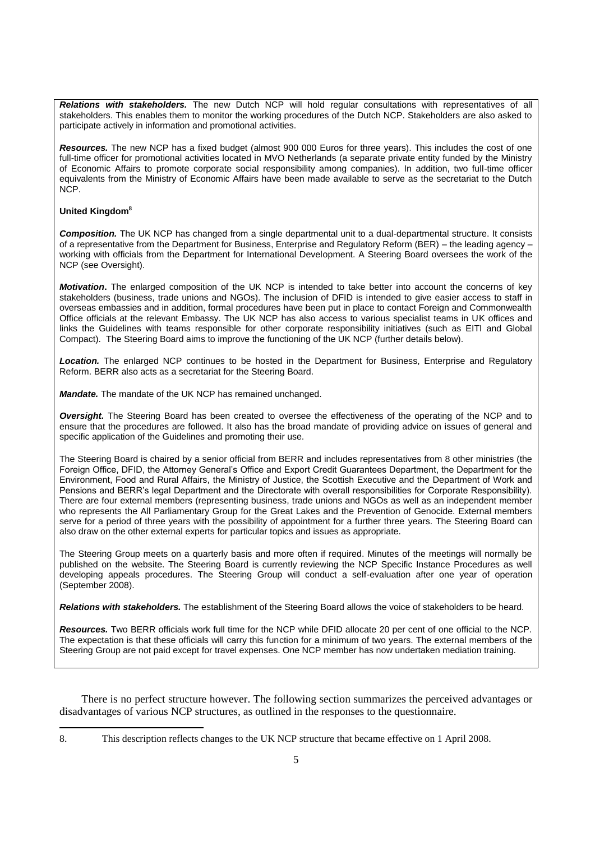*Relations with stakeholders.* The new Dutch NCP will hold regular consultations with representatives of all stakeholders. This enables them to monitor the working procedures of the Dutch NCP. Stakeholders are also asked to participate actively in information and promotional activities.

*Resources.* The new NCP has a fixed budget (almost 900 000 Euros for three years). This includes the cost of one full-time officer for promotional activities located in MVO Netherlands (a separate private entity funded by the Ministry of Economic Affairs to promote corporate social responsibility among companies). In addition, two full-time officer equivalents from the Ministry of Economic Affairs have been made available to serve as the secretariat to the Dutch NCP.

#### **United Kingdom<sup>8</sup>**

 $\overline{\phantom{a}}$ 

*Composition.* The UK NCP has changed from a single departmental unit to a dual-departmental structure. It consists of a representative from the Department for Business, Enterprise and Regulatory Reform (BER) – the leading agency – working with officials from the Department for International Development. A Steering Board oversees the work of the NCP (see Oversight).

*Motivation***.** The enlarged composition of the UK NCP is intended to take better into account the concerns of key stakeholders (business, trade unions and NGOs). The inclusion of DFID is intended to give easier access to staff in overseas embassies and in addition, formal procedures have been put in place to contact Foreign and Commonwealth Office officials at the relevant Embassy. The UK NCP has also access to various specialist teams in UK offices and links the Guidelines with teams responsible for other corporate responsibility initiatives (such as EITI and Global Compact). The Steering Board aims to improve the functioning of the UK NCP (further details below).

*Location.* The enlarged NCP continues to be hosted in the Department for Business, Enterprise and Regulatory Reform. BERR also acts as a secretariat for the Steering Board.

*Mandate.* The mandate of the UK NCP has remained unchanged.

*Oversight.* The Steering Board has been created to oversee the effectiveness of the operating of the NCP and to ensure that the procedures are followed. It also has the broad mandate of providing advice on issues of general and specific application of the Guidelines and promoting their use.

The Steering Board is chaired by a senior official from BERR and includes representatives from 8 other ministries (the Foreign Office, DFID, the Attorney General's Office and Export Credit Guarantees Department, the Department for the Environment, Food and Rural Affairs, the Ministry of Justice, the Scottish Executive and the Department of Work and Pensions and BERR's legal Department and the Directorate with overall responsibilities for Corporate Responsibility). There are four external members (representing business, trade unions and NGOs as well as an independent member who represents the All Parliamentary Group for the Great Lakes and the Prevention of Genocide. External members serve for a period of three years with the possibility of appointment for a further three years. The Steering Board can also draw on the other external experts for particular topics and issues as appropriate.

The Steering Group meets on a quarterly basis and more often if required. Minutes of the meetings will normally be published on the website. The Steering Board is currently reviewing the NCP Specific Instance Procedures as well developing appeals procedures. The Steering Group will conduct a self-evaluation after one year of operation (September 2008).

*Relations with stakeholders.* The establishment of the Steering Board allows the voice of stakeholders to be heard.

*Resources.* Two BERR officials work full time for the NCP while DFID allocate 20 per cent of one official to the NCP. The expectation is that these officials will carry this function for a minimum of two years. The external members of the Steering Group are not paid except for travel expenses. One NCP member has now undertaken mediation training.

There is no perfect structure however. The following section summarizes the perceived advantages or disadvantages of various NCP structures, as outlined in the responses to the questionnaire.

<sup>8.</sup> This description reflects changes to the UK NCP structure that became effective on 1 April 2008.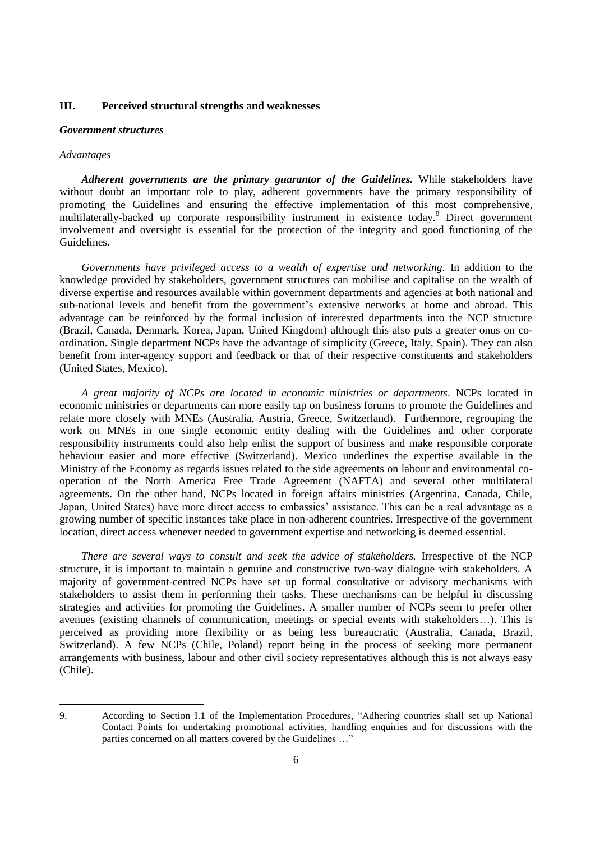#### <span id="page-5-0"></span>**III. Perceived structural strengths and weaknesses**

#### <span id="page-5-1"></span>*Government structures*

#### *Advantages*

l

*Adherent governments are the primary guarantor of the Guidelines.* While stakeholders have without doubt an important role to play, adherent governments have the primary responsibility of promoting the Guidelines and ensuring the effective implementation of this most comprehensive, multilaterally-backed up corporate responsibility instrument in existence today.<sup>9</sup> Direct government involvement and oversight is essential for the protection of the integrity and good functioning of the Guidelines.

*Governments have privileged access to a wealth of expertise and networking.* In addition to the knowledge provided by stakeholders, government structures can mobilise and capitalise on the wealth of diverse expertise and resources available within government departments and agencies at both national and sub-national levels and benefit from the government's extensive networks at home and abroad. This advantage can be reinforced by the formal inclusion of interested departments into the NCP structure (Brazil, Canada, Denmark, Korea, Japan, United Kingdom) although this also puts a greater onus on coordination. Single department NCPs have the advantage of simplicity (Greece, Italy, Spain). They can also benefit from inter-agency support and feedback or that of their respective constituents and stakeholders (United States, Mexico).

*A great majority of NCPs are located in economic ministries or departments*. NCPs located in economic ministries or departments can more easily tap on business forums to promote the Guidelines and relate more closely with MNEs (Australia, Austria, Greece, Switzerland). Furthermore, regrouping the work on MNEs in one single economic entity dealing with the Guidelines and other corporate responsibility instruments could also help enlist the support of business and make responsible corporate behaviour easier and more effective (Switzerland). Mexico underlines the expertise available in the Ministry of the Economy as regards issues related to the side agreements on labour and environmental cooperation of the North America Free Trade Agreement (NAFTA) and several other multilateral agreements. On the other hand, NCPs located in foreign affairs ministries (Argentina, Canada, Chile, Japan, United States) have more direct access to embassies' assistance. This can be a real advantage as a growing number of specific instances take place in non-adherent countries. Irrespective of the government location, direct access whenever needed to government expertise and networking is deemed essential.

*There are several ways to consult and seek the advice of stakeholders.* Irrespective of the NCP structure, it is important to maintain a genuine and constructive two-way dialogue with stakeholders. A majority of government-centred NCPs have set up formal consultative or advisory mechanisms with stakeholders to assist them in performing their tasks. These mechanisms can be helpful in discussing strategies and activities for promoting the Guidelines. A smaller number of NCPs seem to prefer other avenues (existing channels of communication, meetings or special events with stakeholders…). This is perceived as providing more flexibility or as being less bureaucratic (Australia, Canada, Brazil, Switzerland). A few NCPs (Chile, Poland) report being in the process of seeking more permanent arrangements with business, labour and other civil society representatives although this is not always easy (Chile).

<sup>9.</sup> According to Section I.1 of the Implementation Procedures, "Adhering countries shall set up National Contact Points for undertaking promotional activities, handling enquiries and for discussions with the parties concerned on all matters covered by the Guidelines …"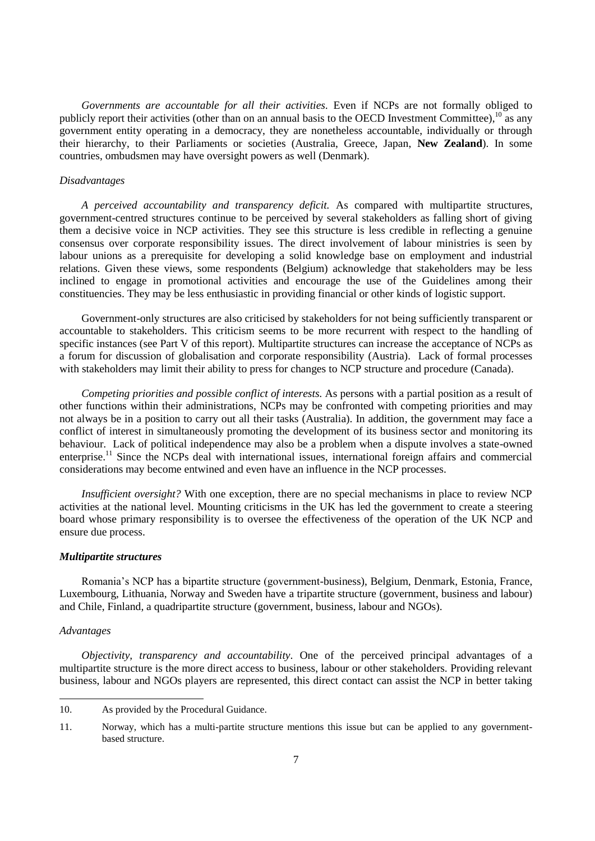*Governments are accountable for all their activities.* Even if NCPs are not formally obliged to publicly report their activities (other than on an annual basis to the OECD Investment Committee), <sup>10</sup> as any government entity operating in a democracy, they are nonetheless accountable, individually or through their hierarchy, to their Parliaments or societies (Australia, Greece, Japan, **New Zealand**). In some countries, ombudsmen may have oversight powers as well (Denmark).

#### *Disadvantages*

*A perceived accountability and transparency deficit.* As compared with multipartite structures, government-centred structures continue to be perceived by several stakeholders as falling short of giving them a decisive voice in NCP activities. They see this structure is less credible in reflecting a genuine consensus over corporate responsibility issues. The direct involvement of labour ministries is seen by labour unions as a prerequisite for developing a solid knowledge base on employment and industrial relations. Given these views, some respondents (Belgium) acknowledge that stakeholders may be less inclined to engage in promotional activities and encourage the use of the Guidelines among their constituencies. They may be less enthusiastic in providing financial or other kinds of logistic support.

Government-only structures are also criticised by stakeholders for not being sufficiently transparent or accountable to stakeholders. This criticism seems to be more recurrent with respect to the handling of specific instances (see Part V of this report). Multipartite structures can increase the acceptance of NCPs as a forum for discussion of globalisation and corporate responsibility (Austria). Lack of formal processes with stakeholders may limit their ability to press for changes to NCP structure and procedure (Canada).

*Competing priorities and possible conflict of interests.* As persons with a partial position as a result of other functions within their administrations, NCPs may be confronted with competing priorities and may not always be in a position to carry out all their tasks (Australia). In addition, the government may face a conflict of interest in simultaneously promoting the development of its business sector and monitoring its behaviour. Lack of political independence may also be a problem when a dispute involves a state-owned enterprise.<sup>11</sup> Since the NCPs deal with international issues, international foreign affairs and commercial considerations may become entwined and even have an influence in the NCP processes.

*Insufficient oversight?* With one exception, there are no special mechanisms in place to review NCP activities at the national level. Mounting criticisms in the UK has led the government to create a steering board whose primary responsibility is to oversee the effectiveness of the operation of the UK NCP and ensure due process.

#### <span id="page-6-0"></span>*Multipartite structures*

Romania's NCP has a bipartite structure (government-business), Belgium, Denmark, Estonia, France, Luxembourg, Lithuania, Norway and Sweden have a tripartite structure (government, business and labour) and Chile, Finland, a quadripartite structure (government, business, labour and NGOs).

#### *Advantages*

l

*Objectivity, transparency and accountability*. One of the perceived principal advantages of a multipartite structure is the more direct access to business, labour or other stakeholders. Providing relevant business, labour and NGOs players are represented, this direct contact can assist the NCP in better taking

<sup>10.</sup> As provided by the Procedural Guidance.

<sup>11.</sup> Norway, which has a multi-partite structure mentions this issue but can be applied to any governmentbased structure.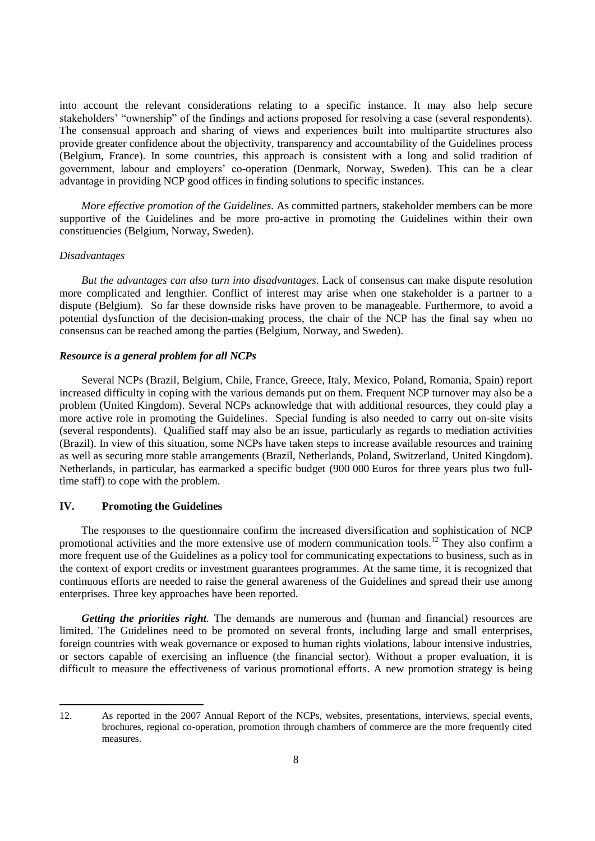into account the relevant considerations relating to a specific instance. It may also help secure stakeholders' "ownership" of the findings and actions proposed for resolving a case (several respondents). The consensual approach and sharing of views and experiences built into multipartite structures also provide greater confidence about the objectivity, transparency and accountability of the Guidelines process (Belgium, France). In some countries, this approach is consistent with a long and solid tradition of government, labour and employers' co-operation (Denmark, Norway, Sweden). This can be a clear advantage in providing NCP good offices in finding solutions to specific instances.

*More effective promotion of the Guidelines.* As committed partners, stakeholder members can be more supportive of the Guidelines and be more pro-active in promoting the Guidelines within their own constituencies (Belgium, Norway, Sweden).

#### *Disadvantages*

*But the advantages can also turn into disadvantages*. Lack of consensus can make dispute resolution more complicated and lengthier. Conflict of interest may arise when one stakeholder is a partner to a dispute (Belgium). So far these downside risks have proven to be manageable. Furthermore, to avoid a potential dysfunction of the decision-making process, the chair of the NCP has the final say when no consensus can be reached among the parties (Belgium, Norway, and Sweden).

#### <span id="page-7-0"></span>*Resource is a general problem for all NCPs*

Several NCPs (Brazil, Belgium, Chile, France, Greece, Italy, Mexico, Poland, Romania, Spain) report increased difficulty in coping with the various demands put on them. Frequent NCP turnover may also be a problem (United Kingdom). Several NCPs acknowledge that with additional resources, they could play a more active role in promoting the Guidelines. Special funding is also needed to carry out on-site visits (several respondents). Qualified staff may also be an issue, particularly as regards to mediation activities (Brazil). In view of this situation, some NCPs have taken steps to increase available resources and training as well as securing more stable arrangements (Brazil, Netherlands, Poland, Switzerland, United Kingdom). Netherlands, in particular, has earmarked a specific budget (900 000 Euros for three years plus two fulltime staff) to cope with the problem.

#### <span id="page-7-1"></span>**IV. Promoting the Guidelines**

l

The responses to the questionnaire confirm the increased diversification and sophistication of NCP promotional activities and the more extensive use of modern communication tools.<sup>12</sup> They also confirm a more frequent use of the Guidelines as a policy tool for communicating expectations to business, such as in the context of export credits or investment guarantees programmes. At the same time, it is recognized that continuous efforts are needed to raise the general awareness of the Guidelines and spread their use among enterprises. Three key approaches have been reported.

*Getting the priorities right.* The demands are numerous and (human and financial) resources are limited. The Guidelines need to be promoted on several fronts, including large and small enterprises, foreign countries with weak governance or exposed to human rights violations, labour intensive industries, or sectors capable of exercising an influence (the financial sector). Without a proper evaluation, it is difficult to measure the effectiveness of various promotional efforts. A new promotion strategy is being

12. As reported in the 2007 Annual Report of the NCPs, websites, presentations, interviews, special events, brochures, regional co-operation, promotion through chambers of commerce are the more frequently cited measures.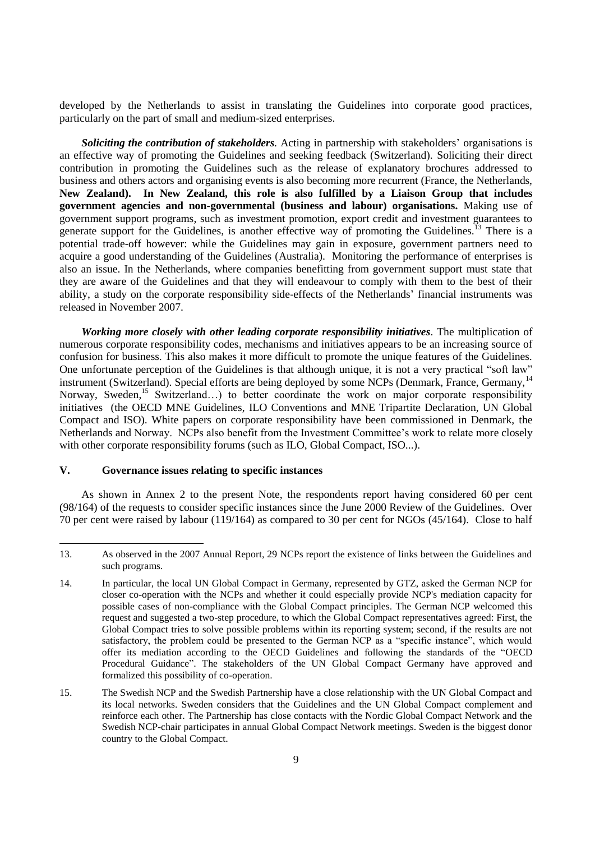developed by the Netherlands to assist in translating the Guidelines into corporate good practices, particularly on the part of small and medium-sized enterprises.

*Soliciting the contribution of stakeholders.* Acting in partnership with stakeholders' organisations is an effective way of promoting the Guidelines and seeking feedback (Switzerland). Soliciting their direct contribution in promoting the Guidelines such as the release of explanatory brochures addressed to business and others actors and organising events is also becoming more recurrent (France, the Netherlands, **New Zealand). In New Zealand, this role is also fulfilled by a Liaison Group that includes government agencies and non-governmental (business and labour) organisations.** Making use of government support programs, such as investment promotion, export credit and investment guarantees to generate support for the Guidelines, is another effective way of promoting the Guidelines.<sup>13</sup> There is a potential trade-off however: while the Guidelines may gain in exposure, government partners need to acquire a good understanding of the Guidelines (Australia). Monitoring the performance of enterprises is also an issue. In the Netherlands, where companies benefitting from government support must state that they are aware of the Guidelines and that they will endeavour to comply with them to the best of their ability, a study on the corporate responsibility side-effects of the Netherlands' financial instruments was released in November 2007.

*Working more closely with other leading corporate responsibility initiatives*. The multiplication of numerous corporate responsibility codes, mechanisms and initiatives appears to be an increasing source of confusion for business. This also makes it more difficult to promote the unique features of the Guidelines. One unfortunate perception of the Guidelines is that although unique, it is not a very practical "soft law" instrument (Switzerland). Special efforts are being deployed by some NCPs (Denmark, France, Germany, 14 Norway, Sweden,<sup>15</sup> Switzerland...) to better coordinate the work on major corporate responsibility initiatives (the OECD MNE Guidelines, ILO Conventions and MNE Tripartite Declaration, UN Global Compact and ISO). White papers on corporate responsibility have been commissioned in Denmark, the Netherlands and Norway. NCPs also benefit from the Investment Committee's work to relate more closely with other corporate responsibility forums (such as ILO, Global Compact, ISO...).

# <span id="page-8-0"></span>**V. Governance issues relating to specific instances**

l

As shown in Annex 2 to the present Note, the respondents report having considered 60 per cent (98/164) of the requests to consider specific instances since the June 2000 Review of the Guidelines. Over 70 per cent were raised by labour (119/164) as compared to 30 per cent for NGOs (45/164). Close to half

<sup>13.</sup> As observed in the 2007 Annual Report, 29 NCPs report the existence of links between the Guidelines and such programs.

<sup>14.</sup> In particular, the local UN Global Compact in Germany, represented by GTZ, asked the German NCP for closer co-operation with the NCPs and whether it could especially provide NCP's mediation capacity for possible cases of non-compliance with the Global Compact principles. The German NCP welcomed this request and suggested a two-step procedure, to which the Global Compact representatives agreed: First, the Global Compact tries to solve possible problems within its reporting system; second, if the results are not satisfactory, the problem could be presented to the German NCP as a "specific instance", which would offer its mediation according to the OECD Guidelines and following the standards of the "OECD Procedural Guidance". The stakeholders of the UN Global Compact Germany have approved and formalized this possibility of co-operation.

<sup>15.</sup> The Swedish NCP and the Swedish Partnership have a close relationship with the UN Global Compact and its local networks. Sweden considers that the Guidelines and the UN Global Compact complement and reinforce each other. The Partnership has close contacts with the Nordic Global Compact Network and the Swedish NCP-chair participates in annual Global Compact Network meetings. Sweden is the biggest donor country to the Global Compact.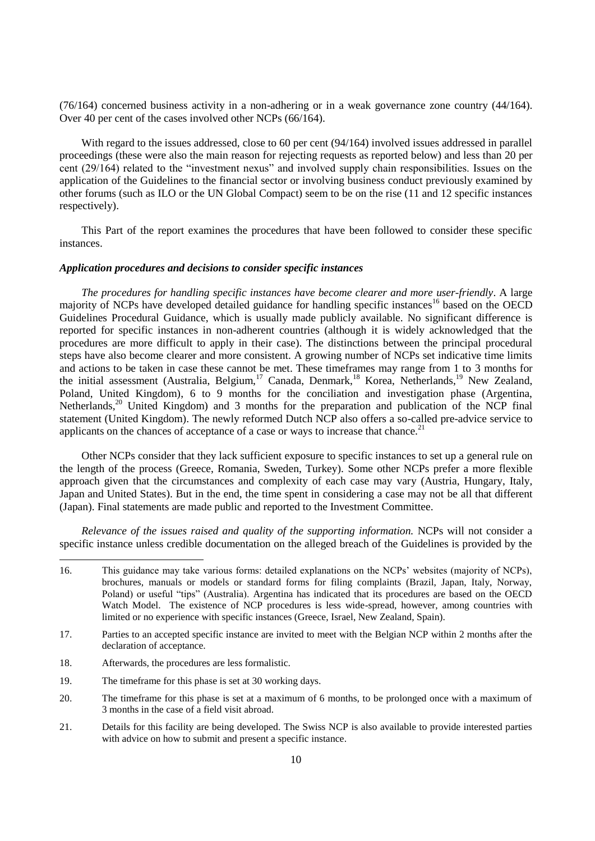(76/164) concerned business activity in a non-adhering or in a weak governance zone country (44/164). Over 40 per cent of the cases involved other NCPs (66/164).

With regard to the issues addressed, close to 60 per cent (94/164) involved issues addressed in parallel proceedings (these were also the main reason for rejecting requests as reported below) and less than 20 per cent (29/164) related to the "investment nexus" and involved supply chain responsibilities. Issues on the application of the Guidelines to the financial sector or involving business conduct previously examined by other forums (such as ILO or the UN Global Compact) seem to be on the rise (11 and 12 specific instances respectively).

This Part of the report examines the procedures that have been followed to consider these specific instances.

#### <span id="page-9-0"></span>*Application procedures and decisions to consider specific instances*

*The procedures for handling specific instances have become clearer and more user-friendly*. A large majority of NCPs have developed detailed guidance for handling specific instances<sup>16</sup> based on the OECD Guidelines Procedural Guidance, which is usually made publicly available. No significant difference is reported for specific instances in non-adherent countries (although it is widely acknowledged that the procedures are more difficult to apply in their case). The distinctions between the principal procedural steps have also become clearer and more consistent. A growing number of NCPs set indicative time limits and actions to be taken in case these cannot be met. These timeframes may range from 1 to 3 months for the initial assessment (Australia, Belgium,<sup>17</sup> Canada, Denmark,<sup>18</sup> Korea, Netherlands,<sup>19</sup> New Zealand, Poland, United Kingdom), 6 to 9 months for the conciliation and investigation phase (Argentina, Netherlands,<sup>20</sup> United Kingdom) and 3 months for the preparation and publication of the NCP final statement (United Kingdom). The newly reformed Dutch NCP also offers a so-called pre-advice service to applicants on the chances of acceptance of a case or ways to increase that chance.<sup>21</sup>

Other NCPs consider that they lack sufficient exposure to specific instances to set up a general rule on the length of the process (Greece, Romania, Sweden, Turkey). Some other NCPs prefer a more flexible approach given that the circumstances and complexity of each case may vary (Austria, Hungary, Italy, Japan and United States). But in the end, the time spent in considering a case may not be all that different (Japan). Final statements are made public and reported to the Investment Committee.

*Relevance of the issues raised and quality of the supporting information.* NCPs will not consider a specific instance unless credible documentation on the alleged breach of the Guidelines is provided by the

18. Afterwards, the procedures are less formalistic.

 $\overline{a}$ 

- 19. The timeframe for this phase is set at 30 working days.
- 20. The timeframe for this phase is set at a maximum of 6 months, to be prolonged once with a maximum of 3 months in the case of a field visit abroad.
- 21. Details for this facility are being developed. The Swiss NCP is also available to provide interested parties with advice on how to submit and present a specific instance.

<sup>16.</sup> This guidance may take various forms: detailed explanations on the NCPs' websites (majority of NCPs), brochures, manuals or models or standard forms for filing complaints (Brazil, Japan, Italy, Norway, Poland) or useful "tips" (Australia). Argentina has indicated that its procedures are based on the OECD Watch Model. The existence of NCP procedures is less wide-spread, however, among countries with limited or no experience with specific instances (Greece, Israel, New Zealand, Spain).

<sup>17.</sup> Parties to an accepted specific instance are invited to meet with the Belgian NCP within 2 months after the declaration of acceptance.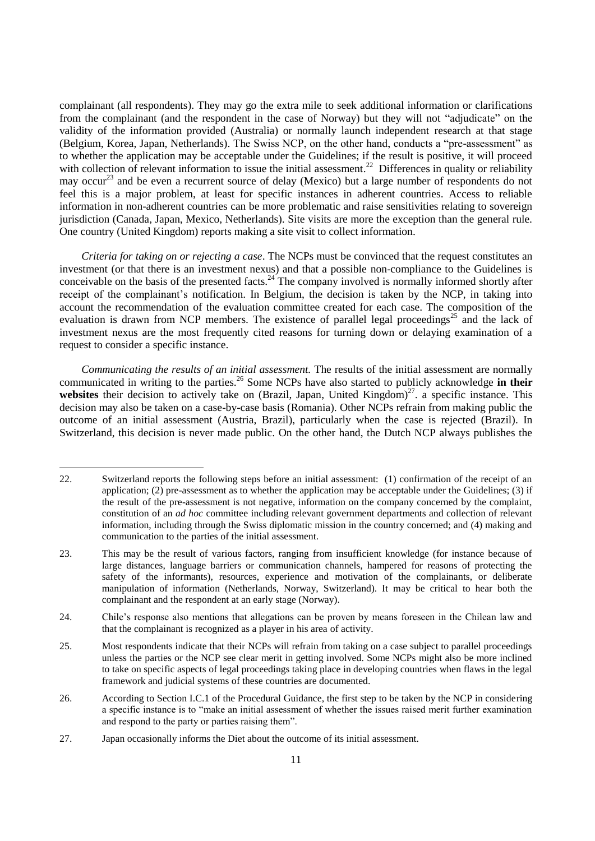complainant (all respondents). They may go the extra mile to seek additional information or clarifications from the complainant (and the respondent in the case of Norway) but they will not "adjudicate" on the validity of the information provided (Australia) or normally launch independent research at that stage (Belgium, Korea, Japan, Netherlands). The Swiss NCP, on the other hand, conducts a "pre-assessment" as to whether the application may be acceptable under the Guidelines; if the result is positive, it will proceed with collection of relevant information to issue the initial assessment.<sup>22</sup> Differences in quality or reliability may occur<sup>23</sup> and be even a recurrent source of delay (Mexico) but a large number of respondents do not feel this is a major problem, at least for specific instances in adherent countries. Access to reliable information in non-adherent countries can be more problematic and raise sensitivities relating to sovereign jurisdiction (Canada, Japan, Mexico, Netherlands). Site visits are more the exception than the general rule. One country (United Kingdom) reports making a site visit to collect information.

*Criteria for taking on or rejecting a case*. The NCPs must be convinced that the request constitutes an investment (or that there is an investment nexus) and that a possible non-compliance to the Guidelines is conceivable on the basis of the presented facts.<sup>24</sup> The company involved is normally informed shortly after receipt of the complainant's notification. In Belgium, the decision is taken by the NCP, in taking into account the recommendation of the evaluation committee created for each case. The composition of the evaluation is drawn from NCP members. The existence of parallel legal proceedings<sup>25</sup> and the lack of investment nexus are the most frequently cited reasons for turning down or delaying examination of a request to consider a specific instance.

*Communicating the results of an initial assessment.* The results of the initial assessment are normally communicated in writing to the parties.<sup>26</sup> Some NCPs have also started to publicly acknowledge **in their websites** their decision to actively take on (Brazil, Japan, United Kingdom)<sup>27</sup>. a specific instance. This decision may also be taken on a case-by-case basis (Romania). Other NCPs refrain from making public the outcome of an initial assessment (Austria, Brazil), particularly when the case is rejected (Brazil). In Switzerland, this decision is never made public. On the other hand, the Dutch NCP always publishes the

l

<sup>22.</sup> Switzerland reports the following steps before an initial assessment: (1) confirmation of the receipt of an application; (2) pre-assessment as to whether the application may be acceptable under the Guidelines; (3) if the result of the pre-assessment is not negative, information on the company concerned by the complaint, constitution of an *ad hoc* committee including relevant government departments and collection of relevant information, including through the Swiss diplomatic mission in the country concerned; and (4) making and communication to the parties of the initial assessment.

<sup>23.</sup> This may be the result of various factors, ranging from insufficient knowledge (for instance because of large distances, language barriers or communication channels, hampered for reasons of protecting the safety of the informants), resources, experience and motivation of the complainants, or deliberate manipulation of information (Netherlands, Norway, Switzerland). It may be critical to hear both the complainant and the respondent at an early stage (Norway).

<sup>24.</sup> Chile's response also mentions that allegations can be proven by means foreseen in the Chilean law and that the complainant is recognized as a player in his area of activity.

<sup>25.</sup> Most respondents indicate that their NCPs will refrain from taking on a case subject to parallel proceedings unless the parties or the NCP see clear merit in getting involved. Some NCPs might also be more inclined to take on specific aspects of legal proceedings taking place in developing countries when flaws in the legal framework and judicial systems of these countries are documented.

<sup>26.</sup> According to Section I.C.1 of the Procedural Guidance, the first step to be taken by the NCP in considering a specific instance is to "make an initial assessment of whether the issues raised merit further examination and respond to the party or parties raising them".

<sup>27.</sup> Japan occasionally informs the Diet about the outcome of its initial assessment.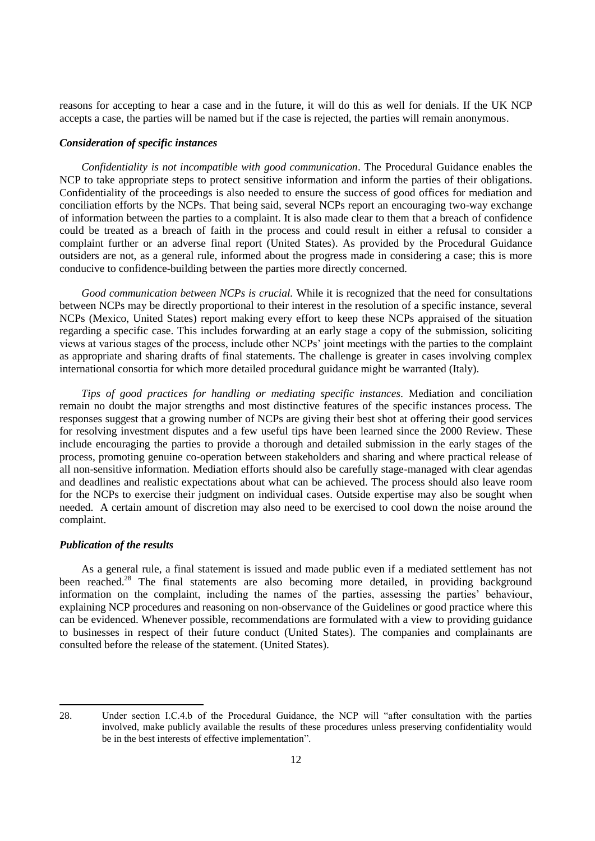reasons for accepting to hear a case and in the future, it will do this as well for denials. If the UK NCP accepts a case, the parties will be named but if the case is rejected, the parties will remain anonymous.

#### <span id="page-11-0"></span>*Consideration of specific instances*

*Confidentiality is not incompatible with good communication*. The Procedural Guidance enables the NCP to take appropriate steps to protect sensitive information and inform the parties of their obligations. Confidentiality of the proceedings is also needed to ensure the success of good offices for mediation and conciliation efforts by the NCPs. That being said, several NCPs report an encouraging two-way exchange of information between the parties to a complaint. It is also made clear to them that a breach of confidence could be treated as a breach of faith in the process and could result in either a refusal to consider a complaint further or an adverse final report (United States). As provided by the Procedural Guidance outsiders are not, as a general rule, informed about the progress made in considering a case; this is more conducive to confidence-building between the parties more directly concerned.

*Good communication between NCPs is crucial.* While it is recognized that the need for consultations between NCPs may be directly proportional to their interest in the resolution of a specific instance, several NCPs (Mexico, United States) report making every effort to keep these NCPs appraised of the situation regarding a specific case. This includes forwarding at an early stage a copy of the submission, soliciting views at various stages of the process, include other NCPs' joint meetings with the parties to the complaint as appropriate and sharing drafts of final statements. The challenge is greater in cases involving complex international consortia for which more detailed procedural guidance might be warranted (Italy).

*Tips of good practices for handling or mediating specific instances.* Mediation and conciliation remain no doubt the major strengths and most distinctive features of the specific instances process. The responses suggest that a growing number of NCPs are giving their best shot at offering their good services for resolving investment disputes and a few useful tips have been learned since the 2000 Review. These include encouraging the parties to provide a thorough and detailed submission in the early stages of the process, promoting genuine co-operation between stakeholders and sharing and where practical release of all non-sensitive information. Mediation efforts should also be carefully stage-managed with clear agendas and deadlines and realistic expectations about what can be achieved. The process should also leave room for the NCPs to exercise their judgment on individual cases. Outside expertise may also be sought when needed. A certain amount of discretion may also need to be exercised to cool down the noise around the complaint.

# <span id="page-11-1"></span>*Publication of the results*

As a general rule, a final statement is issued and made public even if a mediated settlement has not been reached.<sup>28</sup> The final statements are also becoming more detailed, in providing background information on the complaint, including the names of the parties, assessing the parties' behaviour, explaining NCP procedures and reasoning on non-observance of the Guidelines or good practice where this can be evidenced. Whenever possible, recommendations are formulated with a view to providing guidance to businesses in respect of their future conduct (United States). The companies and complainants are consulted before the release of the statement. (United States).

l

<sup>28.</sup> Under section I.C.4.b of the Procedural Guidance, the NCP will "after consultation with the parties involved, make publicly available the results of these procedures unless preserving confidentiality would be in the best interests of effective implementation".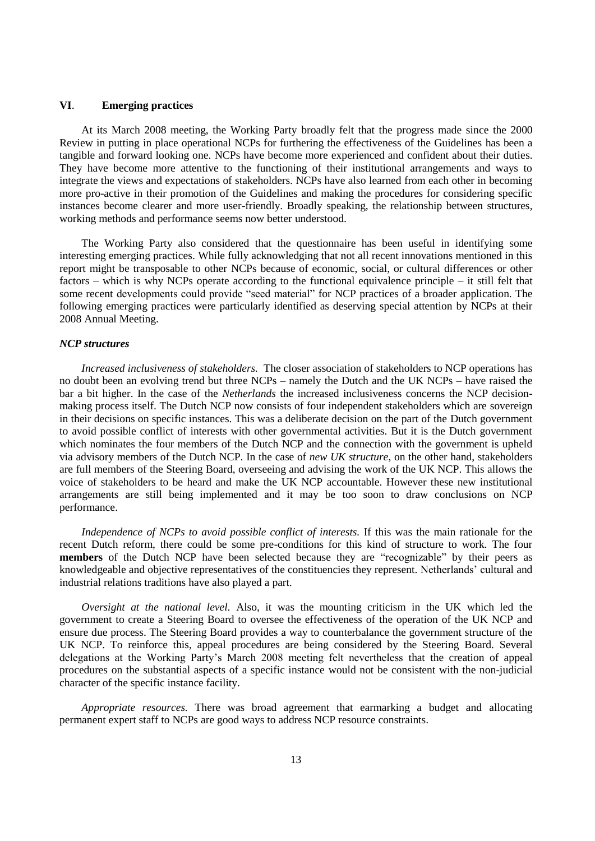#### <span id="page-12-0"></span>**VI**. **Emerging practices**

At its March 2008 meeting, the Working Party broadly felt that the progress made since the 2000 Review in putting in place operational NCPs for furthering the effectiveness of the Guidelines has been a tangible and forward looking one. NCPs have become more experienced and confident about their duties. They have become more attentive to the functioning of their institutional arrangements and ways to integrate the views and expectations of stakeholders. NCPs have also learned from each other in becoming more pro-active in their promotion of the Guidelines and making the procedures for considering specific instances become clearer and more user-friendly. Broadly speaking, the relationship between structures, working methods and performance seems now better understood.

The Working Party also considered that the questionnaire has been useful in identifying some interesting emerging practices. While fully acknowledging that not all recent innovations mentioned in this report might be transposable to other NCPs because of economic, social, or cultural differences or other factors – which is why NCPs operate according to the functional equivalence principle – it still felt that some recent developments could provide "seed material" for NCP practices of a broader application. The following emerging practices were particularly identified as deserving special attention by NCPs at their 2008 Annual Meeting.

#### <span id="page-12-1"></span>*NCP structures*

*Increased inclusiveness of stakeholders.* The closer association of stakeholders to NCP operations has no doubt been an evolving trend but three NCPs – namely the Dutch and the UK NCPs – have raised the bar a bit higher. In the case of the *Netherlands* the increased inclusiveness concerns the NCP decisionmaking process itself. The Dutch NCP now consists of four independent stakeholders which are sovereign in their decisions on specific instances. This was a deliberate decision on the part of the Dutch government to avoid possible conflict of interests with other governmental activities. But it is the Dutch government which nominates the four members of the Dutch NCP and the connection with the government is upheld via advisory members of the Dutch NCP. In the case of *new UK structure*, on the other hand, stakeholders are full members of the Steering Board, overseeing and advising the work of the UK NCP. This allows the voice of stakeholders to be heard and make the UK NCP accountable. However these new institutional arrangements are still being implemented and it may be too soon to draw conclusions on NCP performance.

*Independence of NCPs to avoid possible conflict of interests.* If this was the main rationale for the recent Dutch reform, there could be some pre-conditions for this kind of structure to work. The four **members** of the Dutch NCP have been selected because they are "recognizable" by their peers as knowledgeable and objective representatives of the constituencies they represent. Netherlands' cultural and industrial relations traditions have also played a part.

*Oversight at the national level.* Also, it was the mounting criticism in the UK which led the government to create a Steering Board to oversee the effectiveness of the operation of the UK NCP and ensure due process. The Steering Board provides a way to counterbalance the government structure of the UK NCP. To reinforce this, appeal procedures are being considered by the Steering Board. Several delegations at the Working Party's March 2008 meeting felt nevertheless that the creation of appeal procedures on the substantial aspects of a specific instance would not be consistent with the non-judicial character of the specific instance facility.

*Appropriate resources.* There was broad agreement that earmarking a budget and allocating permanent expert staff to NCPs are good ways to address NCP resource constraints.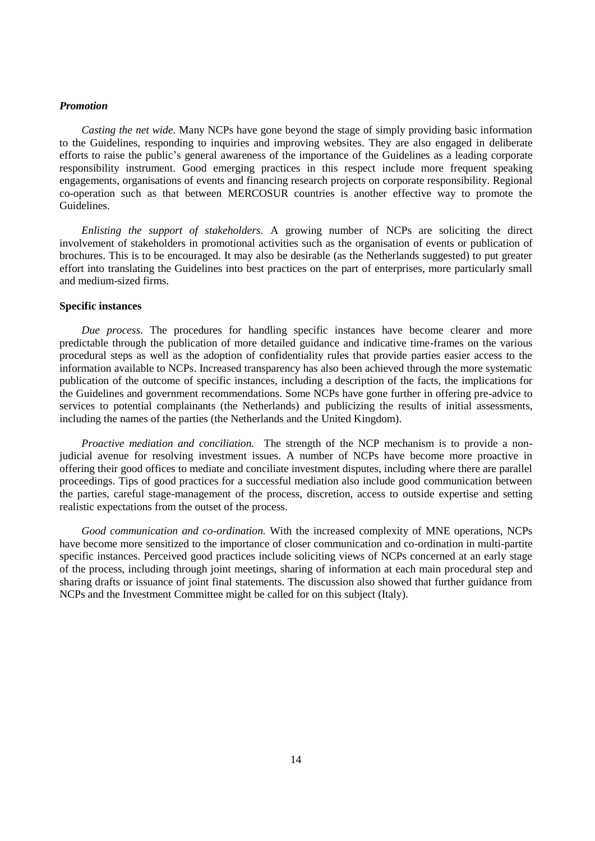#### <span id="page-13-0"></span>*Promotion*

*Casting the net wide.* Many NCPs have gone beyond the stage of simply providing basic information to the Guidelines, responding to inquiries and improving websites. They are also engaged in deliberate efforts to raise the public's general awareness of the importance of the Guidelines as a leading corporate responsibility instrument. Good emerging practices in this respect include more frequent speaking engagements, organisations of events and financing research projects on corporate responsibility. Regional co-operation such as that between MERCOSUR countries is another effective way to promote the Guidelines.

*Enlisting the support of stakeholders.* A growing number of NCPs are soliciting the direct involvement of stakeholders in promotional activities such as the organisation of events or publication of brochures. This is to be encouraged. It may also be desirable (as the Netherlands suggested) to put greater effort into translating the Guidelines into best practices on the part of enterprises, more particularly small and medium-sized firms.

#### **Specific instances**

*Due process.* The procedures for handling specific instances have become clearer and more predictable through the publication of more detailed guidance and indicative time-frames on the various procedural steps as well as the adoption of confidentiality rules that provide parties easier access to the information available to NCPs. Increased transparency has also been achieved through the more systematic publication of the outcome of specific instances, including a description of the facts, the implications for the Guidelines and government recommendations. Some NCPs have gone further in offering pre-advice to services to potential complainants (the Netherlands) and publicizing the results of initial assessments, including the names of the parties (the Netherlands and the United Kingdom).

*Proactive mediation and conciliation.* The strength of the NCP mechanism is to provide a nonjudicial avenue for resolving investment issues. A number of NCPs have become more proactive in offering their good offices to mediate and conciliate investment disputes, including where there are parallel proceedings. Tips of good practices for a successful mediation also include good communication between the parties, careful stage-management of the process, discretion, access to outside expertise and setting realistic expectations from the outset of the process.

*Good communication and co-ordination.* With the increased complexity of MNE operations, NCPs have become more sensitized to the importance of closer communication and co-ordination in multi-partite specific instances. Perceived good practices include soliciting views of NCPs concerned at an early stage of the process, including through joint meetings, sharing of information at each main procedural step and sharing drafts or issuance of joint final statements. The discussion also showed that further guidance from NCPs and the Investment Committee might be called for on this subject (Italy).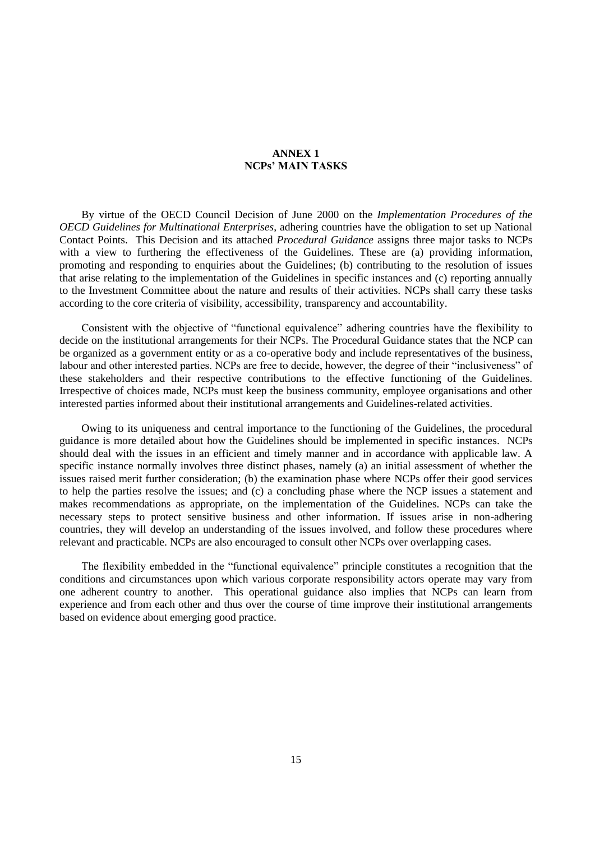# **ANNEX 1 NCPs' MAIN TASKS**

<span id="page-14-0"></span>By virtue of the OECD Council Decision of June 2000 on the *Implementation Procedures of the OECD Guidelines for Multinational Enterprises*, adhering countries have the obligation to set up National Contact Points. This Decision and its attached *Procedural Guidance* assigns three major tasks to NCPs with a view to furthering the effectiveness of the Guidelines. These are (a) providing information, promoting and responding to enquiries about the Guidelines; (b) contributing to the resolution of issues that arise relating to the implementation of the Guidelines in specific instances and (c) reporting annually to the Investment Committee about the nature and results of their activities. NCPs shall carry these tasks according to the core criteria of visibility, accessibility, transparency and accountability.

Consistent with the objective of "functional equivalence" adhering countries have the flexibility to decide on the institutional arrangements for their NCPs. The Procedural Guidance states that the NCP can be organized as a government entity or as a co-operative body and include representatives of the business, labour and other interested parties. NCPs are free to decide, however, the degree of their "inclusiveness" of these stakeholders and their respective contributions to the effective functioning of the Guidelines. Irrespective of choices made, NCPs must keep the business community, employee organisations and other interested parties informed about their institutional arrangements and Guidelines-related activities.

Owing to its uniqueness and central importance to the functioning of the Guidelines, the procedural guidance is more detailed about how the Guidelines should be implemented in specific instances. NCPs should deal with the issues in an efficient and timely manner and in accordance with applicable law. A specific instance normally involves three distinct phases, namely (a) an initial assessment of whether the issues raised merit further consideration; (b) the examination phase where NCPs offer their good services to help the parties resolve the issues; and (c) a concluding phase where the NCP issues a statement and makes recommendations as appropriate, on the implementation of the Guidelines. NCPs can take the necessary steps to protect sensitive business and other information. If issues arise in non-adhering countries, they will develop an understanding of the issues involved, and follow these procedures where relevant and practicable. NCPs are also encouraged to consult other NCPs over overlapping cases.

The flexibility embedded in the "functional equivalence" principle constitutes a recognition that the conditions and circumstances upon which various corporate responsibility actors operate may vary from one adherent country to another. This operational guidance also implies that NCPs can learn from experience and from each other and thus over the course of time improve their institutional arrangements based on evidence about emerging good practice.